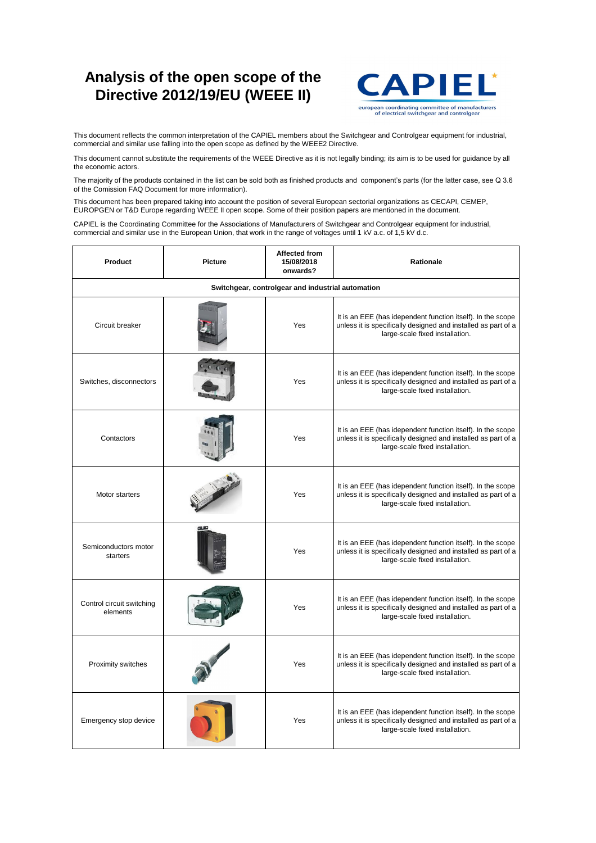| Switches, disconnectors               |               | <b>Yes</b> | It is an EEE (has idependent function itself). In the scope<br>unless it is specifically designed and installed as part of a<br>large-scale fixed installation. |
|---------------------------------------|---------------|------------|-----------------------------------------------------------------------------------------------------------------------------------------------------------------|
| Contactors                            |               | <b>Yes</b> | It is an EEE (has idependent function itself). In the scope<br>unless it is specifically designed and installed as part of a<br>large-scale fixed installation. |
| <b>Motor starters</b>                 |               | <b>Yes</b> | It is an EEE (has idependent function itself). In the scope<br>unless it is specifically designed and installed as part of a<br>large-scale fixed installation. |
| Semiconductors motor<br>starters      | <b>CILLED</b> | <b>Yes</b> | It is an EEE (has idependent function itself). In the scope<br>unless it is specifically designed and installed as part of a<br>large-scale fixed installation. |
| Control circuit switching<br>elements |               | <b>Yes</b> | It is an EEE (has idependent function itself). In the scope<br>unless it is specifically designed and installed as part of a<br>large-scale fixed installation. |
| <b>Proximity switches</b>             |               | Yes        | It is an EEE (has idependent function itself). In the scope<br>unless it is specifically designed and installed as part of a<br>large-scale fixed installation. |
| <b>Emergency stop device</b>          |               | Yes        | It is an EEE (has idependent function itself). In the scope<br>unless it is specifically designed and installed as part of a<br>large-scale fixed installation. |

| <b>Product</b>                                    | <b>Picture</b> | Affected from<br>15/08/2018<br>onwards? | <b>Rationale</b>                                                                                                                                                |  |
|---------------------------------------------------|----------------|-----------------------------------------|-----------------------------------------------------------------------------------------------------------------------------------------------------------------|--|
| Switchgear, controlgear and industrial automation |                |                                         |                                                                                                                                                                 |  |
| Circuit breaker                                   |                | <b>Yes</b>                              | It is an EEE (has idependent function itself). In the scope<br>unless it is specifically designed and installed as part of a<br>large-scale fixed installation. |  |

CAPIEL is the Coordinating Committee for the Associations of Manufacturers of Switchgear and Controlgear equipment for industrial, commercial and similar use in the European Union, that work in the range of voltages until 1 kV a.c. of 1,5 kV d.c.

This document reflects the common interpretation of the CAPIEL members about the Switchgear and Controlgear equipment for industrial, commercial and similar use falling into the open scope as defined by the WEEE2 Directive.

This document cannot substitute the requirements of the WEEE Directive as it is not legally binding; its aim is to be used for guidance by all the economic actors.

The majority of the products contained in the list can be sold both as finished products and component's parts (for the latter case, see Q 3.6 of the Comission FAQ Document for more information).

This document has been prepared taking into account the position of several European sectorial organizations as CECAPI, CEMEP, EUROPGEN or T&D Europe regarding WEEE II open scope. Some of their position papers are mentioned in the document.

## **Analysis of the open scope of the Directive 2012/19/EU (WEEE II)**



european coordinating committee of manufacturers of electrical switchgear and controlgear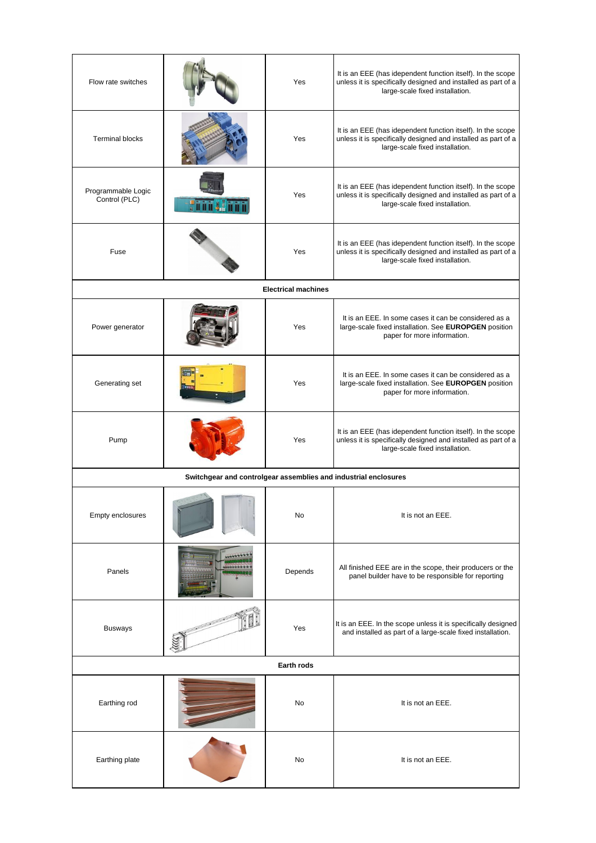| Flow rate switches                                              |  | Yes                        | It is an EEE (has idependent function itself). In the scope<br>unless it is specifically designed and installed as part of a<br>large-scale fixed installation. |
|-----------------------------------------------------------------|--|----------------------------|-----------------------------------------------------------------------------------------------------------------------------------------------------------------|
| <b>Terminal blocks</b>                                          |  | Yes                        | It is an EEE (has idependent function itself). In the scope<br>unless it is specifically designed and installed as part of a<br>large-scale fixed installation. |
| Programmable Logic<br>Control (PLC)                             |  | Yes                        | It is an EEE (has idependent function itself). In the scope<br>unless it is specifically designed and installed as part of a<br>large-scale fixed installation. |
| Fuse                                                            |  | <b>Yes</b>                 | It is an EEE (has idependent function itself). In the scope<br>unless it is specifically designed and installed as part of a<br>large-scale fixed installation. |
|                                                                 |  | <b>Electrical machines</b> |                                                                                                                                                                 |
| Power generator                                                 |  | <b>Yes</b>                 | It is an EEE. In some cases it can be considered as a<br>large-scale fixed installation. See EUROPGEN position<br>paper for more information.                   |
| <b>Generating set</b>                                           |  | <b>Yes</b>                 | It is an EEE. In some cases it can be considered as a<br>large-scale fixed installation. See EUROPGEN position<br>paper for more information.                   |
| Pump                                                            |  | Yes                        | It is an EEE (has idependent function itself). In the scope<br>unless it is specifically designed and installed as part of a<br>large-scale fixed installation. |
| Switchgear and controlgear assemblies and industrial enclosures |  |                            |                                                                                                                                                                 |
| <b>Empty enclosures</b>                                         |  | <b>No</b>                  | It is not an EEE.                                                                                                                                               |
| Panels                                                          |  | Depends                    | All finished EEE are in the scope, their producers or the<br>panel builder have to be responsible for reporting                                                 |
| <b>Busways</b>                                                  |  | Yes                        | It is an EEE. In the scope unless it is specifically designed<br>and installed as part of a large-scale fixed installation.                                     |
| <b>Earth rods</b>                                               |  |                            |                                                                                                                                                                 |
| <b>Earthing rod</b>                                             |  | <b>No</b>                  | It is not an EEE.                                                                                                                                               |
| Earthing plate                                                  |  | <b>No</b>                  | It is not an EEE.                                                                                                                                               |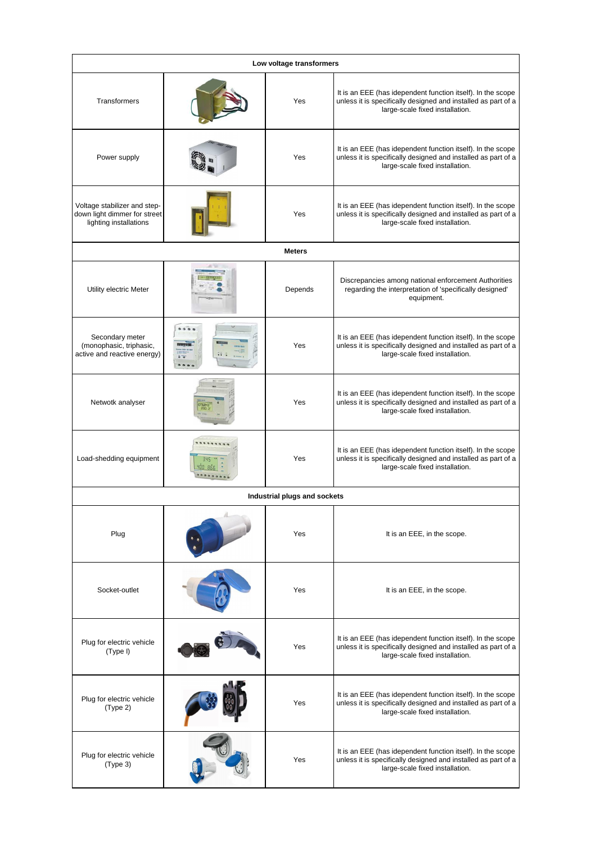| Low voltage transformers                                                               |                                                          |                                     |                                                                                                                                                                 |
|----------------------------------------------------------------------------------------|----------------------------------------------------------|-------------------------------------|-----------------------------------------------------------------------------------------------------------------------------------------------------------------|
| <b>Transformers</b>                                                                    |                                                          | Yes                                 | It is an EEE (has idependent function itself). In the scope<br>unless it is specifically designed and installed as part of a<br>large-scale fixed installation. |
| Power supply                                                                           |                                                          | <b>Yes</b>                          | It is an EEE (has idependent function itself). In the scope<br>unless it is specifically designed and installed as part of a<br>large-scale fixed installation. |
| Voltage stabilizer and step-<br>down light dimmer for street<br>lighting installations |                                                          | Yes                                 | It is an EEE (has idependent function itself). In the scope<br>unless it is specifically designed and installed as part of a<br>large-scale fixed installation. |
|                                                                                        |                                                          | <b>Meters</b>                       |                                                                                                                                                                 |
| <b>Utility electric Meter</b>                                                          |                                                          | Depends                             | Discrepancies among national enforcement Authorities<br>regarding the interpretation of 'specifically designed'<br>equipment.                                   |
| Secondary meter<br>(monophasic, triphasic,<br>active and reactive energy)              | Max 2221 94<br>Images<br>$\overline{0}$ , $\overline{0}$ | Yes                                 | It is an EEE (has idependent function itself). In the scope<br>unless it is specifically designed and installed as part of a<br>large-scale fixed installation. |
| Netwotk analyser                                                                       |                                                          | Yes                                 | It is an EEE (has idependent function itself). In the scope<br>unless it is specifically designed and installed as part of a<br>large-scale fixed installation. |
| Load-shedding equipment                                                                |                                                          | <b>Yes</b>                          | It is an EEE (has idependent function itself). In the scope<br>unless it is specifically designed and installed as part of a<br>large-scale fixed installation. |
|                                                                                        |                                                          | <b>Industrial plugs and sockets</b> |                                                                                                                                                                 |
| Plug                                                                                   |                                                          | Yes                                 | It is an EEE, in the scope.                                                                                                                                     |
| Socket-outlet                                                                          |                                                          | <b>Yes</b>                          | It is an EEE, in the scope.                                                                                                                                     |
| Plug for electric vehicle<br>(Type I)                                                  |                                                          | Yes                                 | It is an EEE (has idependent function itself). In the scope<br>unless it is specifically designed and installed as part of a<br>large-scale fixed installation. |
| Plug for electric vehicle<br>(Type 2)                                                  |                                                          | <b>Yes</b>                          | It is an EEE (has idependent function itself). In the scope<br>unless it is specifically designed and installed as part of a<br>large-scale fixed installation. |
| Plug for electric vehicle<br>(Type 3)                                                  |                                                          | Yes                                 | It is an EEE (has idependent function itself). In the scope<br>unless it is specifically designed and installed as part of a<br>large-scale fixed installation. |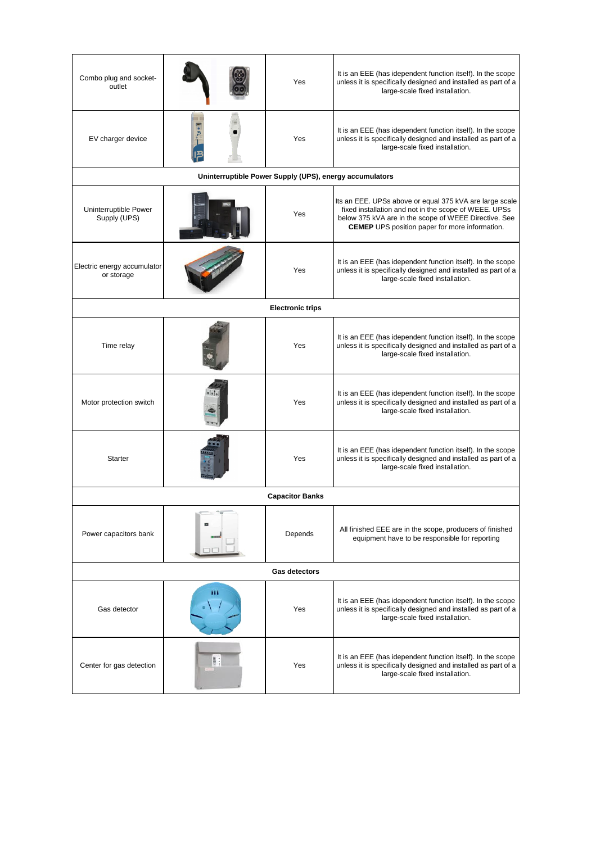| Combo plug and socket-<br>outlet          |                                                         | Yes                     | It is an EEE (has idependent function itself). In the scope<br>unless it is specifically designed and installed as part of a<br>large-scale fixed installation.                                                                    |
|-------------------------------------------|---------------------------------------------------------|-------------------------|------------------------------------------------------------------------------------------------------------------------------------------------------------------------------------------------------------------------------------|
| EV charger device                         |                                                         | Yes                     | It is an EEE (has idependent function itself). In the scope<br>unless it is specifically designed and installed as part of a<br>large-scale fixed installation.                                                                    |
|                                           | Uninterruptible Power Supply (UPS), energy accumulators |                         |                                                                                                                                                                                                                                    |
| Uninterruptible Power<br>Supply (UPS)     |                                                         | Yes                     | Its an EEE. UPSs above or equal 375 kVA are large scale<br>fixed installation and not in the scope of WEEE. UPSs<br>below 375 kVA are in the scope of WEEE Directive. See<br><b>CEMEP</b> UPS position paper for more information. |
| Electric energy accumulator<br>or storage |                                                         | <b>Yes</b>              | It is an EEE (has idependent function itself). In the scope<br>unless it is specifically designed and installed as part of a<br>large-scale fixed installation.                                                                    |
|                                           |                                                         | <b>Electronic trips</b> |                                                                                                                                                                                                                                    |
| Time relay                                |                                                         | Yes                     | It is an EEE (has idependent function itself). In the scope<br>unless it is specifically designed and installed as part of a<br>large-scale fixed installation.                                                                    |
| Motor protection switch                   |                                                         | Yes                     | It is an EEE (has idependent function itself). In the scope<br>unless it is specifically designed and installed as part of a<br>large-scale fixed installation.                                                                    |
| <b>Starter</b>                            |                                                         | Yes                     | It is an EEE (has idependent function itself). In the scope<br>unless it is specifically designed and installed as part of a<br>large-scale fixed installation.                                                                    |
|                                           |                                                         | <b>Capacitor Banks</b>  |                                                                                                                                                                                                                                    |
| Power capacitors bank                     | E                                                       | Depends                 | All finished EEE are in the scope, producers of finished<br>equipment have to be responsible for reporting                                                                                                                         |
| <b>Gas detectors</b>                      |                                                         |                         |                                                                                                                                                                                                                                    |
| <b>Gas detector</b>                       | ш                                                       | Yes                     | It is an EEE (has idependent function itself). In the scope<br>unless it is specifically designed and installed as part of a<br>large-scale fixed installation.                                                                    |
| Center for gas detection                  |                                                         | Yes                     | It is an EEE (has idependent function itself). In the scope<br>unless it is specifically designed and installed as part of a<br>large-scale fixed installation.                                                                    |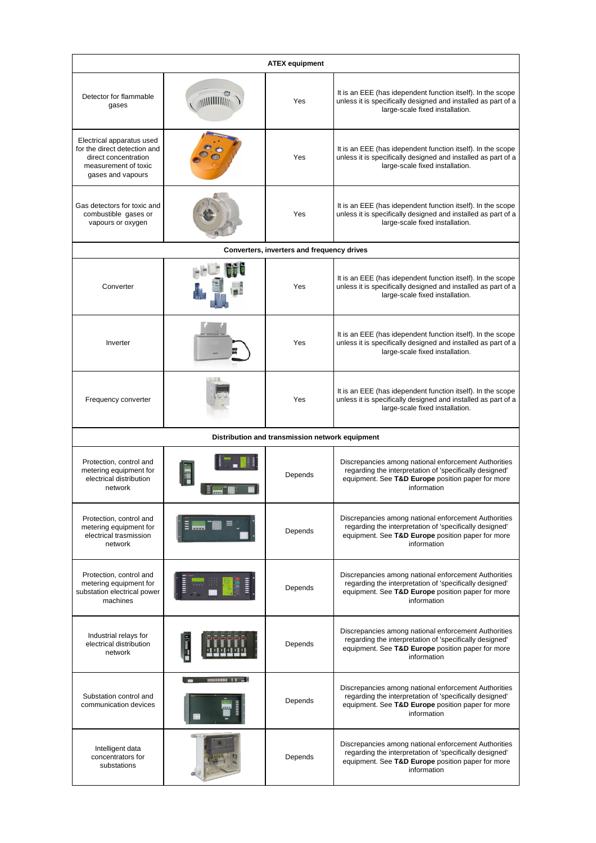| <b>ATEX equipment</b>                                                                                                          |                                           |                                                   |                                                                                                                                                                                     |
|--------------------------------------------------------------------------------------------------------------------------------|-------------------------------------------|---------------------------------------------------|-------------------------------------------------------------------------------------------------------------------------------------------------------------------------------------|
| Detector for flammable<br>gases                                                                                                |                                           | <b>Yes</b>                                        | It is an EEE (has idependent function itself). In the scope<br>unless it is specifically designed and installed as part of a<br>large-scale fixed installation.                     |
| Electrical apparatus used<br>for the direct detection and<br>direct concentration<br>measurement of toxic<br>gases and vapours |                                           | <b>Yes</b>                                        | It is an EEE (has idependent function itself). In the scope<br>unless it is specifically designed and installed as part of a<br>large-scale fixed installation.                     |
| Gas detectors for toxic and<br>combustible gases or<br>vapours or oxygen                                                       |                                           | Yes                                               | It is an EEE (has idependent function itself). In the scope<br>unless it is specifically designed and installed as part of a<br>large-scale fixed installation.                     |
|                                                                                                                                |                                           | <b>Converters, inverters and frequency drives</b> |                                                                                                                                                                                     |
| Converter                                                                                                                      |                                           | Yes                                               | It is an EEE (has idependent function itself). In the scope<br>unless it is specifically designed and installed as part of a<br>large-scale fixed installation.                     |
| Inverter                                                                                                                       |                                           | Yes                                               | It is an EEE (has idependent function itself). In the scope<br>unless it is specifically designed and installed as part of a<br>large-scale fixed installation.                     |
| <b>Frequency converter</b>                                                                                                     |                                           | Yes                                               | It is an EEE (has idependent function itself). In the scope<br>unless it is specifically designed and installed as part of a<br>large-scale fixed installation.                     |
|                                                                                                                                |                                           | Distribution and transmission network equipment   |                                                                                                                                                                                     |
| Protection, control and<br>metering equipment for<br>electrical distribution<br>network                                        |                                           | Depends                                           | Discrepancies among national enforcement Authorities<br>regarding the interpretation of 'specifically designed'<br>equipment. See T&D Europe position paper for more<br>information |
| Protection, control and<br>metering equipment for<br>electrical trasmission<br>network                                         |                                           | Depends                                           | Discrepancies among national enforcement Authorities<br>regarding the interpretation of 'specifically designed'<br>equipment. See T&D Europe position paper for more<br>information |
| Protection, control and<br>metering equipment for<br>substation electrical power<br>machines                                   | $\frac{1}{2}$ $\frac{1}{2}$ $\frac{1}{2}$ | Depends                                           | Discrepancies among national enforcement Authorities<br>regarding the interpretation of 'specifically designed'<br>equipment. See T&D Europe position paper for more<br>information |
| Industrial relays for<br>electrical distribution<br>network                                                                    | <b>TENNET</b>                             | Depends                                           | Discrepancies among national enforcement Authorities<br>regarding the interpretation of 'specifically designed'<br>equipment. See T&D Europe position paper for more<br>information |
| Substation control and<br>communication devices                                                                                | <b>TIRLIRIRIRI</b><br>$\blacksquare$      | <b>Depends</b>                                    | Discrepancies among national enforcement Authorities<br>regarding the interpretation of 'specifically designed'<br>equipment. See T&D Europe position paper for more<br>information |
| Intelligent data<br>concentrators for<br>substations                                                                           |                                           | Depends                                           | Discrepancies among national enforcement Authorities<br>regarding the interpretation of 'specifically designed'<br>equipment. See T&D Europe position paper for more<br>information |